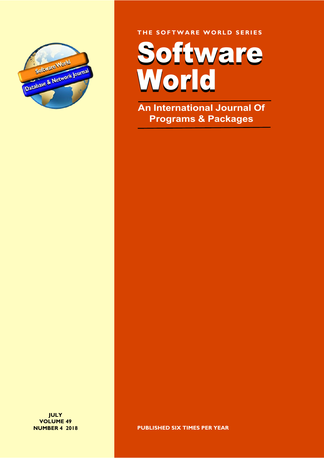

THE SOFTWARE WORLD SERIES

Software Software World World

An International Journal Of Programs & Packages

**JULY** VOLUME 49 NUMBER 4 2018

PUBLISHED SIX TIMES PER YEAR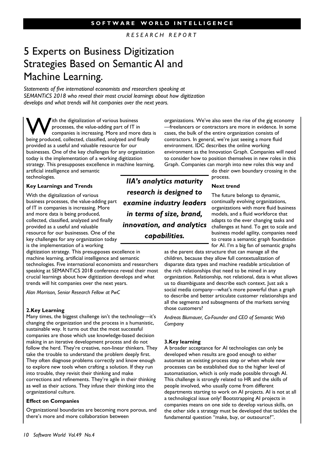R E S E A R C H R E P O R T

# 5 Experts on Business Digitization Strategies Based on Semantic AI and Machine Learning.

Statements of five international economists and researchers speaking at SEMANTiCS 2018 who reveal their most crucial learnings about how digitization develops and what trends will hit companies over the next years.

With the digitalization of various business<br>processes, the value-adding part of IT in<br>being produced collected classified applyzed and finally processes, the value-adding part of IT in being produced, collected, classified, analyzed and finally provided as a useful and valuable resource for our businesses. One of the key challenges for any organization today is the implementation of a working digitization strategy. This presupposes excellence in machine learning, artificial intelligence and semantic technologies.

### Key Learnings and Trends

With the digitalization of various business processes, the value-adding part of IT in companies is increasing. More and more data is being produced, collected, classified, analyzed and finally provided as a useful and valuable resource for our businesses. One of the key challenges for any organization today is the implementation of a working

digitization strategy. This presupposes excellence in machine learning, artificial intelligence and semantic technologies. Five international economists and researchers speaking at SEMANTiCS 2018 conference reveal their most crucial learnings about how digitization develops and what trends will hit companies over the next years.

Alan Morrison, Senior Research Fellow at PwC

#### 2.Key Learning

Many times, the biggest challenge isn't the technology—it's changing the organization and the process in a humanistic, sustainable way. It turns out that the most successful companies are those which use knowledge-based decision making in an iterative development process and do not follow the herd. They're creative, non-linear thinkers. They take the trouble to understand the problem deeply first. They often diagnose problems correctly and know enough to explore new tools when crafting a solution. If they run into trouble, they revisit their thinking and make corrections and refinements. They're agile in their thinking as well as their actions. They infuse their thinking into the organizational culture.

#### Effect on Companies

Organizational boundaries are becoming more porous, and there's more and more collaboration between

IIA's analytics maturity research is designed to examine industry leaders in terms of size, brand, innovation, and analytics capabilities.

organizations. We've also seen the rise of the gig economy —freelancers or contractors are more in evidence. In some cases, the bulk of the entire organization consists of contractors. In general, we're just seeing a more fluid environment. IDC describes the online working environment as the Innovation Graph. Companies will need to consider how to position themselves in new roles in this Graph. Companies can morph into new roles this way and

do their own boundary crossing in the process.

#### Next trend

The future belongs to dynamic, continually evolving organizations, organizations with more fluid business models, and a fluid workforce that adapts to the ever changing tasks and challenges at hand. To get to scale and business model agility, companies need to create a semantic graph foundation for AI. I'm a big fan of semantic graphs

as the parent data structure that can manage all the children, because they allow full contextualization of disparate data types and machine readable articulation of the rich relationships that need to be mined in any organization. Relationship, not relational, data is what allows us to disambiguate and describe each context. Just ask a social media company—what's more powerful than a graph to describe and better articulate customer relationships and all the segments and subsegments of the markets serving those customers?

Andreas Blumauer, Co-Founder and CEO of Semantic Web Company

#### 3.Key learning

A broader acceptance for AI technologies can only be developed when results are good enough to either automate an existing process step or when whole new processes can be established due to the higher level of automatisation, which is only made possible through AI. This challenge is strongly related to HR and the skills of people involved, who usually come from different departments starting to work on AI projects. AI is not at all a technological issue only! Bootstrapping AI projects in companies means on one side to develop various skills, on the other side a strategy must be developed that tackles the fundamental question "make, buy, or outsource?".